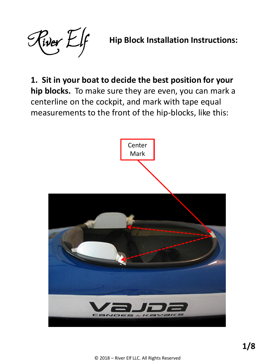River Elf

**Hip Block Installation Instructions:**

**1. Sit in your boat to decide the best position for your hip blocks.** To make sure they are even, you can mark a centerline on the cockpit, and mark with tape equal measurements to the front of the hip-blocks, like this:

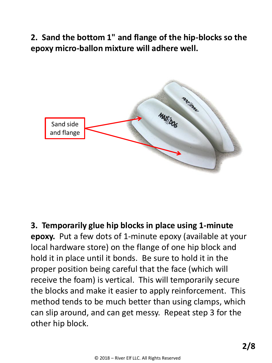**2. Sand the bottom 1" and flange of the hip-blocks so the epoxy micro-ballon mixture will adhere well.**



**3. Temporarily glue hip blocks in place using 1-minute epoxy.** Put a few dots of 1-minute epoxy (available at your local hardware store) on the flange of one hip block and hold it in place until it bonds. Be sure to hold it in the proper position being careful that the face (which will receive the foam) is vertical. This will temporarily secure the blocks and make it easier to apply reinforcement. This method tends to be much better than using clamps, which can slip around, and can get messy. Repeat step 3 for the other hip block.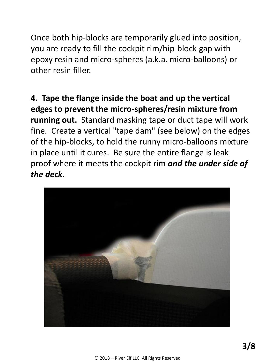Once both hip-blocks are temporarily glued into position, you are ready to fill the cockpit rim/hip-block gap with epoxy resin and micro-spheres (a.k.a. micro-balloons) or other resin filler.

**4. Tape the flange inside the boat and up the vertical edges to prevent the micro-spheres/resin mixture from running out.** Standard masking tape or duct tape will work fine. Create a vertical "tape dam" (see below) on the edges of the hip-blocks, to hold the runny micro-balloons mixture in place until it cures. Be sure the entire flange is leak proof where it meets the cockpit rim *and the under side of the deck*.

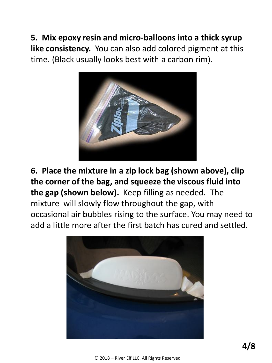**5. Mix epoxy resin and micro-balloons into a thick syrup like consistency.** You can also add colored pigment at this time. (Black usually looks best with a carbon rim).



**6. Place the mixture in a zip lock bag (shown above), clip the corner of the bag, and squeeze the viscous fluid into the gap (shown below).** Keep filling as needed. The mixture will slowly flow throughout the gap, with occasional air bubbles rising to the surface. You may need to add a little more after the first batch has cured and settled.

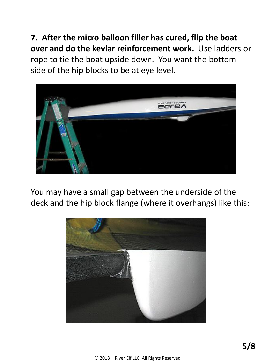**7. After the micro balloon filler has cured, flip the boat over and do the kevlar reinforcement work.** Use ladders or rope to tie the boat upside down. You want the bottom side of the hip blocks to be at eye level.



You may have a small gap between the underside of the deck and the hip block flange (where it overhangs) like this:

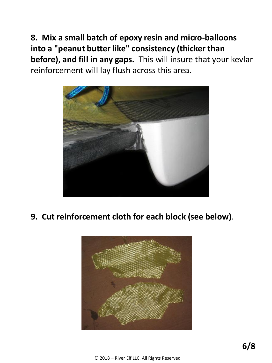**8. Mix a small batch of epoxy resin and micro-balloons into a "peanut butter like" consistency (thicker than before), and fill in any gaps.** This will insure that your kevlar reinforcement will lay flush across this area.



**9. Cut reinforcement cloth for each block (see below)**.

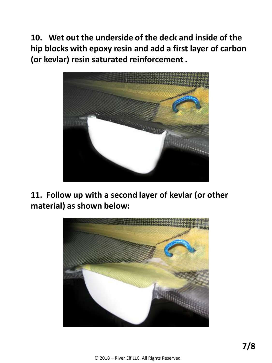**10. Wet out the underside of the deck and inside of the hip blocks with epoxy resin and add a first layer of carbon (or kevlar) resin saturated reinforcement .**



**11. Follow up with a second layer of kevlar (or other material) as shown below:**